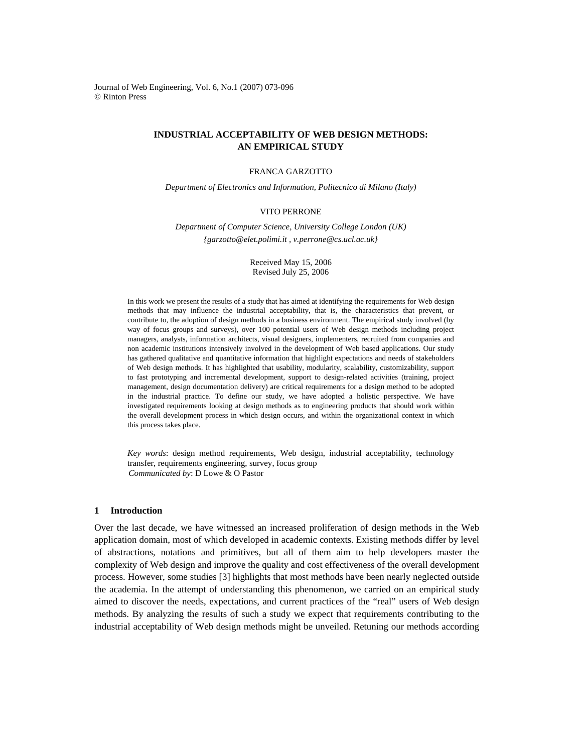Journal of Web Engineering, Vol. 6, No.1 (2007) 073-096 © Rinton Press

# **INDUSTRIAL ACCEPTABILITY OF WEB DESIGN METHODS: AN EMPIRICAL STUDY**

## FRANCA GARZOTTO

*Department of Electronics and Information, Politecnico di Milano (Italy)* 

### VITO PERRONE

*Department of Computer Science, University College London (UK) {garzotto@elet.polimi.it , v.perrone@cs.ucl.ac.uk}* 

> Received May 15, 2006 Revised July 25, 2006

In this work we present the results of a study that has aimed at identifying the requirements for Web design methods that may influence the industrial acceptability, that is, the characteristics that prevent, or contribute to, the adoption of design methods in a business environment. The empirical study involved (by way of focus groups and surveys), over 100 potential users of Web design methods including project managers, analysts, information architects, visual designers, implementers, recruited from companies and non academic institutions intensively involved in the development of Web based applications. Our study has gathered qualitative and quantitative information that highlight expectations and needs of stakeholders of Web design methods. It has highlighted that usability, modularity, scalability, customizability, support to fast prototyping and incremental development, support to design-related activities (training, project management, design documentation delivery) are critical requirements for a design method to be adopted in the industrial practice. To define our study, we have adopted a holistic perspective. We have investigated requirements looking at design methods as to engineering products that should work within the overall development process in which design occurs, and within the organizational context in which this process takes place.

*Key words*: design method requirements, Web design, industrial acceptability, technology transfer, requirements engineering, survey, focus group *Communicated by*: D Lowe & O Pastor

### **1 Introduction**

Over the last decade, we have witnessed an increased proliferation of design methods in the Web application domain, most of which developed in academic contexts. Existing methods differ by level of abstractions, notations and primitives, but all of them aim to help developers master the complexity of Web design and improve the quality and cost effectiveness of the overall development process. However, some studies [3] highlights that most methods have been nearly neglected outside the academia. In the attempt of understanding this phenomenon, we carried on an empirical study aimed to discover the needs, expectations, and current practices of the "real" users of Web design methods. By analyzing the results of such a study we expect that requirements contributing to the industrial acceptability of Web design methods might be unveiled. Retuning our methods according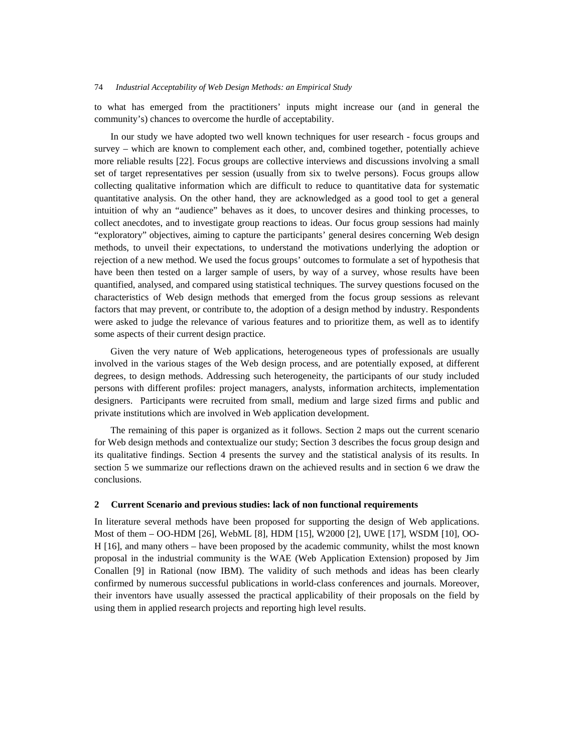to what has emerged from the practitioners' inputs might increase our (and in general the community's) chances to overcome the hurdle of acceptability.

In our study we have adopted two well known techniques for user research - focus groups and survey – which are known to complement each other, and, combined together, potentially achieve more reliable results [22]. Focus groups are collective interviews and discussions involving a small set of target representatives per session (usually from six to twelve persons). Focus groups allow collecting qualitative information which are difficult to reduce to quantitative data for systematic quantitative analysis. On the other hand, they are acknowledged as a good tool to get a general intuition of why an "audience" behaves as it does, to uncover desires and thinking processes, to collect anecdotes, and to investigate group reactions to ideas. Our focus group sessions had mainly "exploratory" objectives, aiming to capture the participants' general desires concerning Web design methods, to unveil their expectations, to understand the motivations underlying the adoption or rejection of a new method. We used the focus groups' outcomes to formulate a set of hypothesis that have been then tested on a larger sample of users, by way of a survey, whose results have been quantified, analysed, and compared using statistical techniques. The survey questions focused on the characteristics of Web design methods that emerged from the focus group sessions as relevant factors that may prevent, or contribute to, the adoption of a design method by industry. Respondents were asked to judge the relevance of various features and to prioritize them, as well as to identify some aspects of their current design practice.

Given the very nature of Web applications, heterogeneous types of professionals are usually involved in the various stages of the Web design process, and are potentially exposed, at different degrees, to design methods. Addressing such heterogeneity, the participants of our study included persons with different profiles: project managers, analysts, information architects, implementation designers. Participants were recruited from small, medium and large sized firms and public and private institutions which are involved in Web application development.

The remaining of this paper is organized as it follows. Section 2 maps out the current scenario for Web design methods and contextualize our study; Section 3 describes the focus group design and its qualitative findings. Section 4 presents the survey and the statistical analysis of its results. In section 5 we summarize our reflections drawn on the achieved results and in section 6 we draw the conclusions.

### **2 Current Scenario and previous studies: lack of non functional requirements**

In literature several methods have been proposed for supporting the design of Web applications. Most of them – OO-HDM [26], WebML [8], HDM [15], W2000 [2], UWE [17], WSDM [10], OO-H [16], and many others – have been proposed by the academic community, whilst the most known proposal in the industrial community is the WAE (Web Application Extension) proposed by Jim Conallen [9] in Rational (now IBM). The validity of such methods and ideas has been clearly confirmed by numerous successful publications in world-class conferences and journals. Moreover, their inventors have usually assessed the practical applicability of their proposals on the field by using them in applied research projects and reporting high level results.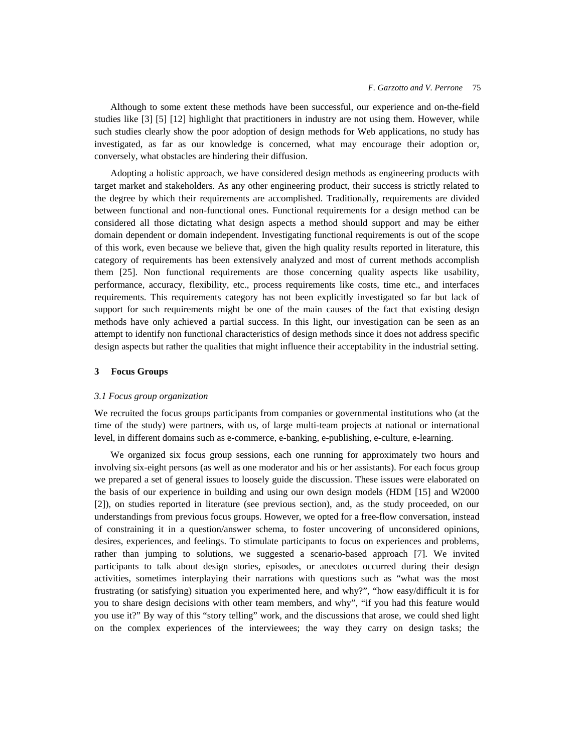Although to some extent these methods have been successful, our experience and on-the-field studies like [3] [5] [12] highlight that practitioners in industry are not using them. However, while such studies clearly show the poor adoption of design methods for Web applications, no study has investigated, as far as our knowledge is concerned, what may encourage their adoption or, conversely, what obstacles are hindering their diffusion.

Adopting a holistic approach, we have considered design methods as engineering products with target market and stakeholders. As any other engineering product, their success is strictly related to the degree by which their requirements are accomplished. Traditionally, requirements are divided between functional and non-functional ones. Functional requirements for a design method can be considered all those dictating what design aspects a method should support and may be either domain dependent or domain independent. Investigating functional requirements is out of the scope of this work, even because we believe that, given the high quality results reported in literature, this category of requirements has been extensively analyzed and most of current methods accomplish them [25]. Non functional requirements are those concerning quality aspects like usability, performance, accuracy, flexibility, etc., process requirements like costs, time etc., and interfaces requirements. This requirements category has not been explicitly investigated so far but lack of support for such requirements might be one of the main causes of the fact that existing design methods have only achieved a partial success. In this light, our investigation can be seen as an attempt to identify non functional characteristics of design methods since it does not address specific design aspects but rather the qualities that might influence their acceptability in the industrial setting.

### **3 Focus Groups**

### *3.1 Focus group organization*

We recruited the focus groups participants from companies or governmental institutions who (at the time of the study) were partners, with us, of large multi-team projects at national or international level, in different domains such as e-commerce, e-banking, e-publishing, e-culture, e-learning.

We organized six focus group sessions, each one running for approximately two hours and involving six-eight persons (as well as one moderator and his or her assistants). For each focus group we prepared a set of general issues to loosely guide the discussion. These issues were elaborated on the basis of our experience in building and using our own design models (HDM [15] and W2000 [2]), on studies reported in literature (see previous section), and, as the study proceeded, on our understandings from previous focus groups. However, we opted for a free-flow conversation, instead of constraining it in a question/answer schema, to foster uncovering of unconsidered opinions, desires, experiences, and feelings. To stimulate participants to focus on experiences and problems, rather than jumping to solutions, we suggested a scenario-based approach [7]. We invited participants to talk about design stories, episodes, or anecdotes occurred during their design activities, sometimes interplaying their narrations with questions such as "what was the most frustrating (or satisfying) situation you experimented here, and why?", "how easy/difficult it is for you to share design decisions with other team members, and why", "if you had this feature would you use it?" By way of this "story telling" work, and the discussions that arose, we could shed light on the complex experiences of the interviewees; the way they carry on design tasks; the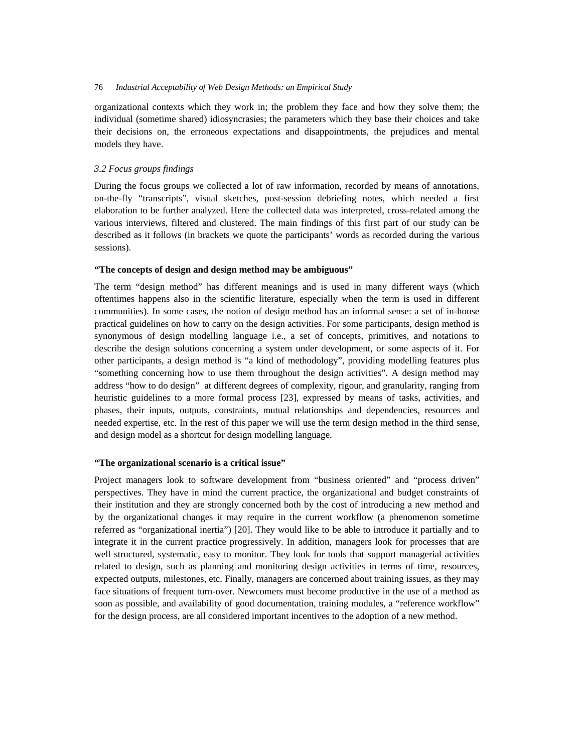organizational contexts which they work in; the problem they face and how they solve them; the individual (sometime shared) idiosyncrasies; the parameters which they base their choices and take their decisions on, the erroneous expectations and disappointments, the prejudices and mental models they have.

## *3.2 Focus groups findings*

During the focus groups we collected a lot of raw information, recorded by means of annotations, on-the-fly "transcripts", visual sketches, post-session debriefing notes, which needed a first elaboration to be further analyzed. Here the collected data was interpreted, cross-related among the various interviews, filtered and clustered. The main findings of this first part of our study can be described as it follows (in brackets we quote the participants' words as recorded during the various sessions).

### **"The concepts of design and design method may be ambiguous"**

The term "design method" has different meanings and is used in many different ways (which oftentimes happens also in the scientific literature, especially when the term is used in different communities). In some cases, the notion of design method has an informal sense: a set of in-house practical guidelines on how to carry on the design activities. For some participants, design method is synonymous of design modelling language i.e., a set of concepts, primitives, and notations to describe the design solutions concerning a system under development, or some aspects of it. For other participants, a design method is "a kind of methodology", providing modelling features plus "something concerning how to use them throughout the design activities". A design method may address "how to do design" at different degrees of complexity, rigour, and granularity, ranging from heuristic guidelines to a more formal process [23], expressed by means of tasks, activities, and phases, their inputs, outputs, constraints, mutual relationships and dependencies, resources and needed expertise, etc. In the rest of this paper we will use the term design method in the third sense, and design model as a shortcut for design modelling language.

### **"The organizational scenario is a critical issue"**

Project managers look to software development from "business oriented" and "process driven" perspectives. They have in mind the current practice, the organizational and budget constraints of their institution and they are strongly concerned both by the cost of introducing a new method and by the organizational changes it may require in the current workflow (a phenomenon sometime referred as "organizational inertia") [20]. They would like to be able to introduce it partially and to integrate it in the current practice progressively. In addition, managers look for processes that are well structured, systematic, easy to monitor. They look for tools that support managerial activities related to design, such as planning and monitoring design activities in terms of time, resources, expected outputs, milestones, etc. Finally, managers are concerned about training issues, as they may face situations of frequent turn-over. Newcomers must become productive in the use of a method as soon as possible, and availability of good documentation, training modules, a "reference workflow" for the design process, are all considered important incentives to the adoption of a new method.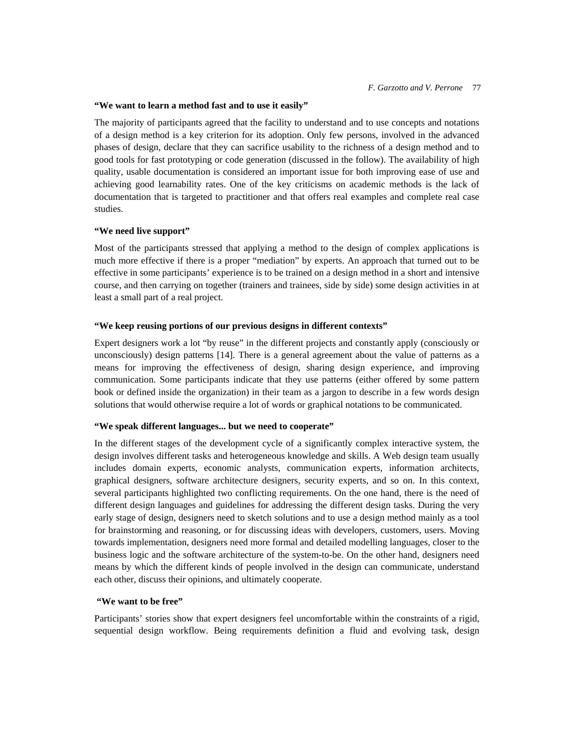## **"We want to learn a method fast and to use it easily"**

The majority of participants agreed that the facility to understand and to use concepts and notations of a design method is a key criterion for its adoption. Only few persons, involved in the advanced phases of design, declare that they can sacrifice usability to the richness of a design method and to good tools for fast prototyping or code generation (discussed in the follow). The availability of high quality, usable documentation is considered an important issue for both improving ease of use and achieving good learnability rates. One of the key criticisms on academic methods is the lack of documentation that is targeted to practitioner and that offers real examples and complete real case studies.

# **"We need live support"**

Most of the participants stressed that applying a method to the design of complex applications is much more effective if there is a proper "mediation" by experts. An approach that turned out to be effective in some participants' experience is to be trained on a design method in a short and intensive course, and then carrying on together (trainers and trainees, side by side) some design activities in at least a small part of a real project.

### **"We keep reusing portions of our previous designs in different contexts"**

Expert designers work a lot "by reuse" in the different projects and constantly apply (consciously or unconsciously) design patterns [14]. There is a general agreement about the value of patterns as a means for improving the effectiveness of design, sharing design experience, and improving communication. Some participants indicate that they use patterns (either offered by some pattern book or defined inside the organization) in their team as a jargon to describe in a few words design solutions that would otherwise require a lot of words or graphical notations to be communicated.

### **"We speak different languages... but we need to cooperate"**

In the different stages of the development cycle of a significantly complex interactive system, the design involves different tasks and heterogeneous knowledge and skills. A Web design team usually includes domain experts, economic analysts, communication experts, information architects, graphical designers, software architecture designers, security experts, and so on. In this context, several participants highlighted two conflicting requirements. On the one hand, there is the need of different design languages and guidelines for addressing the different design tasks. During the very early stage of design, designers need to sketch solutions and to use a design method mainly as a tool for brainstorming and reasoning, or for discussing ideas with developers, customers, users. Moving towards implementation, designers need more formal and detailed modelling languages, closer to the business logic and the software architecture of the system-to-be. On the other hand, designers need means by which the different kinds of people involved in the design can communicate, understand each other, discuss their opinions, and ultimately cooperate.

### **"We want to be free"**

Participants' stories show that expert designers feel uncomfortable within the constraints of a rigid, sequential design workflow. Being requirements definition a fluid and evolving task, design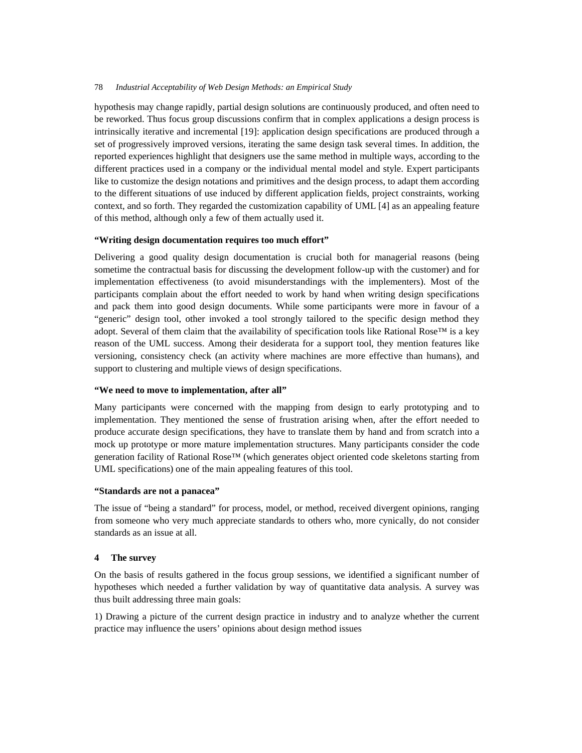hypothesis may change rapidly, partial design solutions are continuously produced, and often need to be reworked. Thus focus group discussions confirm that in complex applications a design process is intrinsically iterative and incremental [19]: application design specifications are produced through a set of progressively improved versions, iterating the same design task several times. In addition, the reported experiences highlight that designers use the same method in multiple ways, according to the different practices used in a company or the individual mental model and style. Expert participants like to customize the design notations and primitives and the design process, to adapt them according to the different situations of use induced by different application fields, project constraints, working context, and so forth. They regarded the customization capability of UML [4] as an appealing feature of this method, although only a few of them actually used it.

# **"Writing design documentation requires too much effort"**

Delivering a good quality design documentation is crucial both for managerial reasons (being sometime the contractual basis for discussing the development follow-up with the customer) and for implementation effectiveness (to avoid misunderstandings with the implementers). Most of the participants complain about the effort needed to work by hand when writing design specifications and pack them into good design documents. While some participants were more in favour of a "generic" design tool, other invoked a tool strongly tailored to the specific design method they adopt. Several of them claim that the availability of specification tools like Rational Rose™ is a key reason of the UML success. Among their desiderata for a support tool, they mention features like versioning, consistency check (an activity where machines are more effective than humans), and support to clustering and multiple views of design specifications.

### **"We need to move to implementation, after all"**

Many participants were concerned with the mapping from design to early prototyping and to implementation. They mentioned the sense of frustration arising when, after the effort needed to produce accurate design specifications, they have to translate them by hand and from scratch into a mock up prototype or more mature implementation structures. Many participants consider the code generation facility of Rational Rose™ (which generates object oriented code skeletons starting from UML specifications) one of the main appealing features of this tool.

# **"Standards are not a panacea"**

The issue of "being a standard" for process, model, or method, received divergent opinions, ranging from someone who very much appreciate standards to others who, more cynically, do not consider standards as an issue at all.

# **4 The survey**

On the basis of results gathered in the focus group sessions, we identified a significant number of hypotheses which needed a further validation by way of quantitative data analysis. A survey was thus built addressing three main goals:

1) Drawing a picture of the current design practice in industry and to analyze whether the current practice may influence the users' opinions about design method issues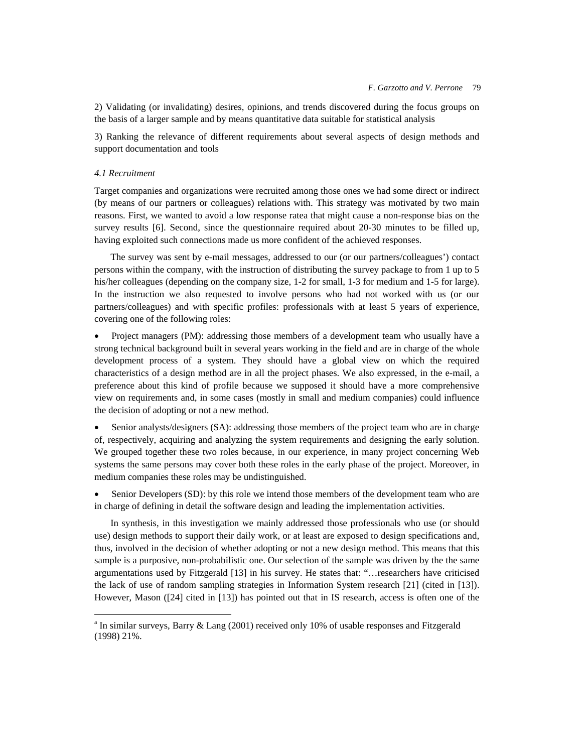2) Validating (or invalidating) desires, opinions, and trends discovered during the focus groups on the basis of a larger sample and by means quantitative data suitable for statistical analysis

3) Ranking the relevance of different requirements about several aspects of design methods and support documentation and tools

### *4.1 Recruitment*

1

Target companies and organizations were recruited among those ones we had some direct or indirect (by means of our partners or colleagues) relations with. This strategy was motivated by two main reasons. First, we wanted to avoid a low response ratea that might cause a non-response bias on the survey results [6]. Second, since the questionnaire required about 20-30 minutes to be filled up, having exploited such connections made us more confident of the achieved responses.

The survey was sent by e-mail messages, addressed to our (or our partners/colleagues') contact persons within the company, with the instruction of distributing the survey package to from 1 up to 5 his/her colleagues (depending on the company size, 1-2 for small, 1-3 for medium and 1-5 for large). In the instruction we also requested to involve persons who had not worked with us (or our partners/colleagues) and with specific profiles: professionals with at least 5 years of experience, covering one of the following roles:

• Project managers (PM): addressing those members of a development team who usually have a strong technical background built in several years working in the field and are in charge of the whole development process of a system. They should have a global view on which the required characteristics of a design method are in all the project phases. We also expressed, in the e-mail, a preference about this kind of profile because we supposed it should have a more comprehensive view on requirements and, in some cases (mostly in small and medium companies) could influence the decision of adopting or not a new method.

• Senior analysts/designers (SA): addressing those members of the project team who are in charge of, respectively, acquiring and analyzing the system requirements and designing the early solution. We grouped together these two roles because, in our experience, in many project concerning Web systems the same persons may cover both these roles in the early phase of the project. Moreover, in medium companies these roles may be undistinguished.

Senior Developers (SD): by this role we intend those members of the development team who are in charge of defining in detail the software design and leading the implementation activities.

In synthesis, in this investigation we mainly addressed those professionals who use (or should use) design methods to support their daily work, or at least are exposed to design specifications and, thus, involved in the decision of whether adopting or not a new design method. This means that this sample is a purposive, non-probabilistic one. Our selection of the sample was driven by the the same argumentations used by Fitzgerald [13] in his survey. He states that: "…researchers have criticised the lack of use of random sampling strategies in Information System research [21] (cited in [13]). However, Mason ([24] cited in [13]) has pointed out that in IS research, access is often one of the

<sup>&</sup>lt;sup>a</sup> In similar surveys, Barry & Lang (2001) received only 10% of usable responses and Fitzgerald (1998) 21%.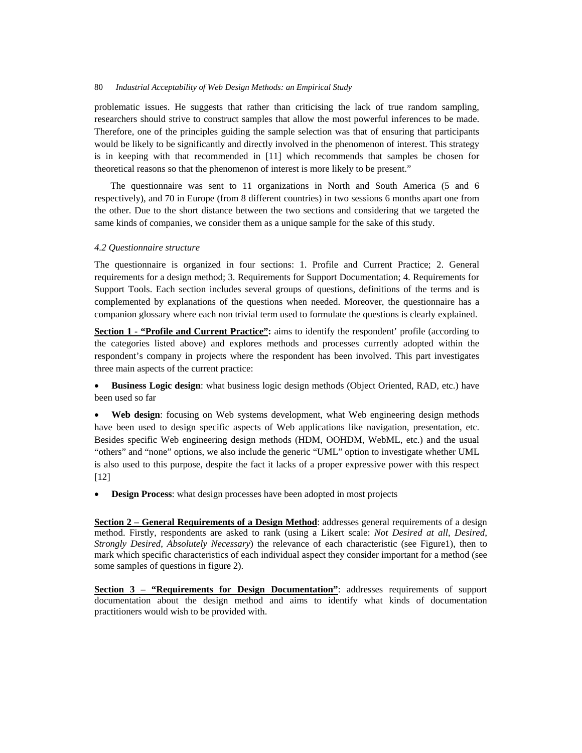problematic issues. He suggests that rather than criticising the lack of true random sampling, researchers should strive to construct samples that allow the most powerful inferences to be made. Therefore, one of the principles guiding the sample selection was that of ensuring that participants would be likely to be significantly and directly involved in the phenomenon of interest. This strategy is in keeping with that recommended in [11] which recommends that samples be chosen for theoretical reasons so that the phenomenon of interest is more likely to be present."

The questionnaire was sent to 11 organizations in North and South America (5 and 6 respectively), and 70 in Europe (from 8 different countries) in two sessions 6 months apart one from the other. Due to the short distance between the two sections and considering that we targeted the same kinds of companies, we consider them as a unique sample for the sake of this study.

#### *4.2 Questionnaire structure*

The questionnaire is organized in four sections: 1. Profile and Current Practice; 2. General requirements for a design method; 3. Requirements for Support Documentation; 4. Requirements for Support Tools. Each section includes several groups of questions, definitions of the terms and is complemented by explanations of the questions when needed. Moreover, the questionnaire has a companion glossary where each non trivial term used to formulate the questions is clearly explained.

**Section 1 - "Profile and Current Practice":** aims to identify the respondent' profile (according to the categories listed above) and explores methods and processes currently adopted within the respondent's company in projects where the respondent has been involved. This part investigates three main aspects of the current practice:

• **Business Logic design**: what business logic design methods (Object Oriented, RAD, etc.) have been used so far

Web design: focusing on Web systems development, what Web engineering design methods have been used to design specific aspects of Web applications like navigation, presentation, etc. Besides specific Web engineering design methods (HDM, OOHDM, WebML, etc.) and the usual "others" and "none" options, we also include the generic "UML" option to investigate whether UML is also used to this purpose, despite the fact it lacks of a proper expressive power with this respect [12]

• **Design Process**: what design processes have been adopted in most projects

**Section 2 – General Requirements of a Design Method:** addresses general requirements of a design method. Firstly, respondents are asked to rank (using a Likert scale: *Not Desired at all*, *Desired*, *Strongly Desired*, *Absolutely Necessary*) the relevance of each characteristic (see Figure1), then to mark which specific characteristics of each individual aspect they consider important for a method (see some samples of questions in figure 2).

**Section 3 – "Requirements for Design Documentation":** addresses requirements of support documentation about the design method and aims to identify what kinds of documentation practitioners would wish to be provided with.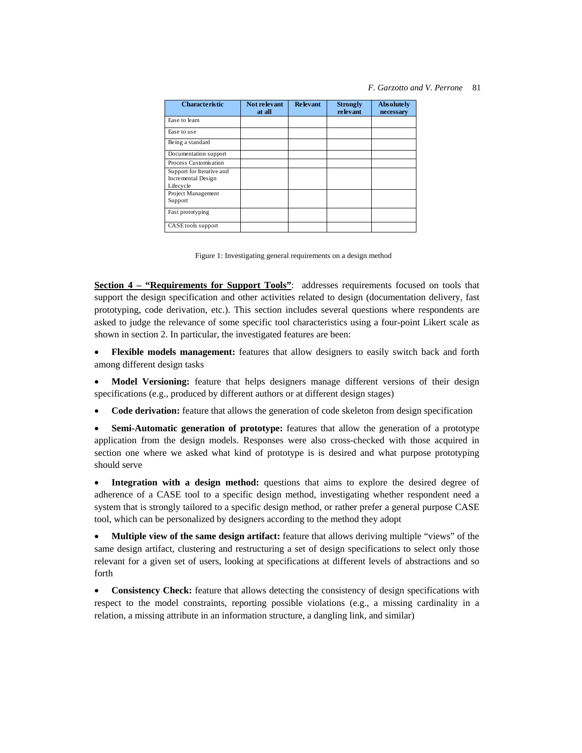### *F. Garzotto and V. Perrone* 81

| <b>Characteristic</b>                                        | Not relevant<br>at all | <b>Relevant</b> | <b>Strongly</b><br>relevant | Absolutely<br>necessary |
|--------------------------------------------------------------|------------------------|-----------------|-----------------------------|-------------------------|
| Ease to learn                                                |                        |                 |                             |                         |
| Ease to use                                                  |                        |                 |                             |                         |
| Being a standard                                             |                        |                 |                             |                         |
| Documentation support                                        |                        |                 |                             |                         |
| Process Customisation                                        |                        |                 |                             |                         |
| Support for Iterative and<br>Incremental Design<br>Lifecycle |                        |                 |                             |                         |
| Project Management<br>Support                                |                        |                 |                             |                         |
| Fast prototyping                                             |                        |                 |                             |                         |
| CASE tools support                                           |                        |                 |                             |                         |

Figure 1: Investigating general requirements on a design method

**Section 4 – "Requirements for Support Tools"**: addresses requirements focused on tools that support the design specification and other activities related to design (documentation delivery, fast prototyping, code derivation, etc.). This section includes several questions where respondents are asked to judge the relevance of some specific tool characteristics using a four-point Likert scale as shown in section 2. In particular, the investigated features are been:

• **Flexible models management:** features that allow designers to easily switch back and forth among different design tasks

• **Model Versioning:** feature that helps designers manage different versions of their design specifications (e.g., produced by different authors or at different design stages)

• **Code derivation:** feature that allows the generation of code skeleton from design specification

• **Semi-Automatic generation of prototype:** features that allow the generation of a prototype application from the design models. Responses were also cross-checked with those acquired in section one where we asked what kind of prototype is is desired and what purpose prototyping should serve

• **Integration with a design method:** questions that aims to explore the desired degree of adherence of a CASE tool to a specific design method, investigating whether respondent need a system that is strongly tailored to a specific design method, or rather prefer a general purpose CASE tool, which can be personalized by designers according to the method they adopt

• **Multiple view of the same design artifact:** feature that allows deriving multiple "views" of the same design artifact, clustering and restructuring a set of design specifications to select only those relevant for a given set of users, looking at specifications at different levels of abstractions and so forth

• **Consistency Check:** feature that allows detecting the consistency of design specifications with respect to the model constraints, reporting possible violations (e.g., a missing cardinality in a relation, a missing attribute in an information structure, a dangling link, and similar)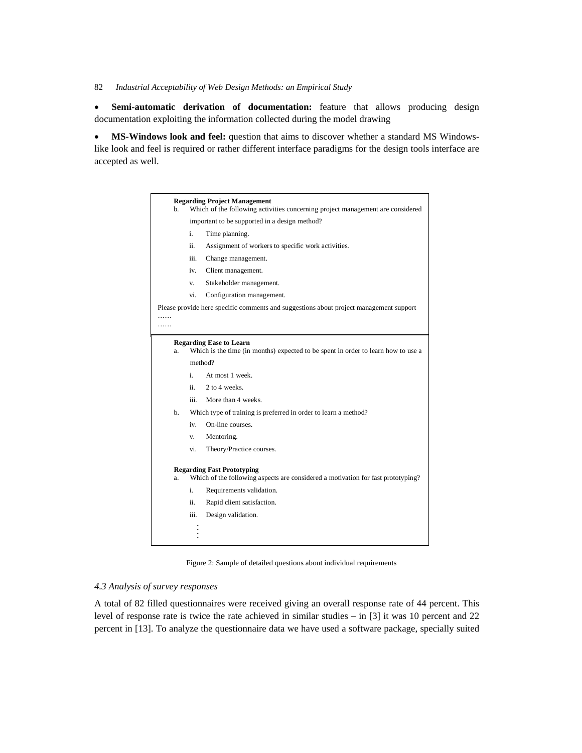• **Semi-automatic derivation of documentation:** feature that allows producing design documentation exploiting the information collected during the model drawing

• **MS-Windows look and feel:** question that aims to discover whether a standard MS Windowslike look and feel is required or rather different interface paradigms for the design tools interface are accepted as well.

| h.                                                                                                                          |                                                                 | <b>Regarding Project Management</b><br>Which of the following activities concerning project management are considered |  |  |  |
|-----------------------------------------------------------------------------------------------------------------------------|-----------------------------------------------------------------|-----------------------------------------------------------------------------------------------------------------------|--|--|--|
|                                                                                                                             | important to be supported in a design method?                   |                                                                                                                       |  |  |  |
|                                                                                                                             | i.<br>Time planning.                                            |                                                                                                                       |  |  |  |
|                                                                                                                             | ii.<br>Assignment of workers to specific work activities.       |                                                                                                                       |  |  |  |
|                                                                                                                             | iii.                                                            | Change management.                                                                                                    |  |  |  |
|                                                                                                                             | iv.                                                             | Client management.                                                                                                    |  |  |  |
|                                                                                                                             | V.                                                              | Stakeholder management.                                                                                               |  |  |  |
|                                                                                                                             | vi.                                                             | Configuration management.                                                                                             |  |  |  |
|                                                                                                                             |                                                                 | Please provide here specific comments and suggestions about project management support                                |  |  |  |
| a.                                                                                                                          |                                                                 | <b>Regarding Ease to Learn</b><br>Which is the time (in months) expected to be spent in order to learn how to use a   |  |  |  |
|                                                                                                                             | method?                                                         |                                                                                                                       |  |  |  |
|                                                                                                                             | i.                                                              | At most 1 week.                                                                                                       |  |  |  |
|                                                                                                                             | ii.                                                             | 2 to 4 weeks.                                                                                                         |  |  |  |
|                                                                                                                             | iii.                                                            | More than 4 weeks.                                                                                                    |  |  |  |
| b.                                                                                                                          | Which type of training is preferred in order to learn a method? |                                                                                                                       |  |  |  |
|                                                                                                                             | iv.                                                             | On-line courses.                                                                                                      |  |  |  |
|                                                                                                                             | v.                                                              | Mentoring.                                                                                                            |  |  |  |
|                                                                                                                             | vi.                                                             | Theory/Practice courses.                                                                                              |  |  |  |
| <b>Regarding Fast Prototyping</b><br>Which of the following aspects are considered a motivation for fast prototyping?<br>a. |                                                                 |                                                                                                                       |  |  |  |
|                                                                                                                             | i.                                                              | Requirements validation.                                                                                              |  |  |  |
|                                                                                                                             | ii.                                                             | Rapid client satisfaction.                                                                                            |  |  |  |
|                                                                                                                             | iii.                                                            | Design validation.                                                                                                    |  |  |  |
|                                                                                                                             |                                                                 |                                                                                                                       |  |  |  |

Figure 2: Sample of detailed questions about individual requirements

# *4.3 Analysis of survey responses*

A total of 82 filled questionnaires were received giving an overall response rate of 44 percent. This level of response rate is twice the rate achieved in similar studies – in [3] it was 10 percent and 22 percent in [13]. To analyze the questionnaire data we have used a software package, specially suited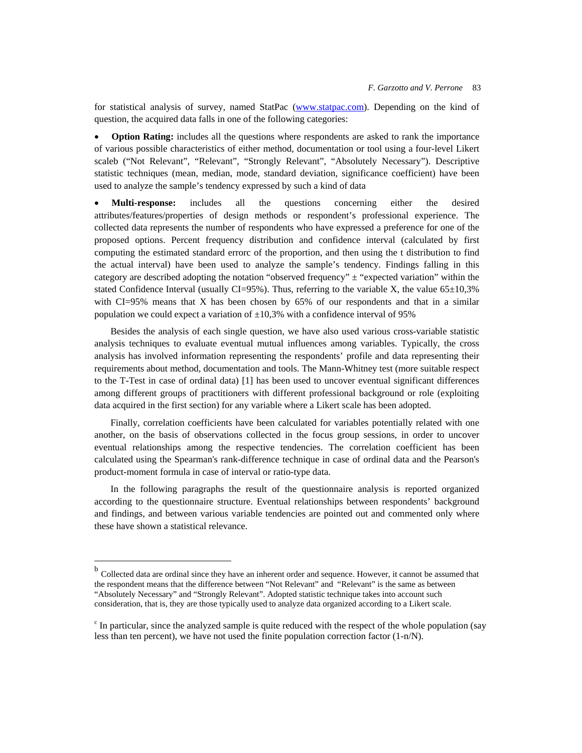for statistical analysis of survey, named StatPac (www.statpac.com). Depending on the kind of question, the acquired data falls in one of the following categories:

• **Option Rating:** includes all the questions where respondents are asked to rank the importance of various possible characteristics of either method, documentation or tool using a four-level Likert scaleb ("Not Relevant", "Relevant", "Strongly Relevant", "Absolutely Necessary"). Descriptive statistic techniques (mean, median, mode, standard deviation, significance coefficient) have been used to analyze the sample's tendency expressed by such a kind of data

• **Multi-response:** includes all the questions concerning either the desired attributes/features/properties of design methods or respondent's professional experience. The collected data represents the number of respondents who have expressed a preference for one of the proposed options. Percent frequency distribution and confidence interval (calculated by first computing the estimated standard errorc of the proportion, and then using the t distribution to find the actual interval) have been used to analyze the sample's tendency. Findings falling in this category are described adopting the notation "observed frequency" ± "expected variation" within the stated Confidence Interval (usually  $CI=95\%$ ). Thus, referring to the variable X, the value 65 $\pm 10,3\%$ with CI=95% means that X has been chosen by 65% of our respondents and that in a similar population we could expect a variation of  $\pm 10,3\%$  with a confidence interval of 95%

Besides the analysis of each single question, we have also used various cross-variable statistic analysis techniques to evaluate eventual mutual influences among variables. Typically, the cross analysis has involved information representing the respondents' profile and data representing their requirements about method, documentation and tools. The Mann-Whitney test (more suitable respect to the T-Test in case of ordinal data) [1] has been used to uncover eventual significant differences among different groups of practitioners with different professional background or role (exploiting data acquired in the first section) for any variable where a Likert scale has been adopted.

Finally, correlation coefficients have been calculated for variables potentially related with one another, on the basis of observations collected in the focus group sessions, in order to uncover eventual relationships among the respective tendencies. The correlation coefficient has been calculated using the Spearman's rank-difference technique in case of ordinal data and the Pearson's product-moment formula in case of interval or ratio-type data.

In the following paragraphs the result of the questionnaire analysis is reported organized according to the questionnaire structure. Eventual relationships between respondents' background and findings, and between various variable tendencies are pointed out and commented only where these have shown a statistical relevance.

1

<sup>&</sup>lt;sup>b</sup> Collected data are ordinal since they have an inherent order and sequence. However, it cannot be assumed that the respondent means that the difference between "Not Relevant" and "Relevant" is the same as between "Absolutely Necessary" and "Strongly Relevant". Adopted statistic technique takes into account such consideration, that is, they are those typically used to analyze data organized according to a Likert scale.

<sup>&</sup>lt;sup>c</sup> In particular, since the analyzed sample is quite reduced with the respect of the whole population (say less than ten percent), we have not used the finite population correction factor (1-n/N).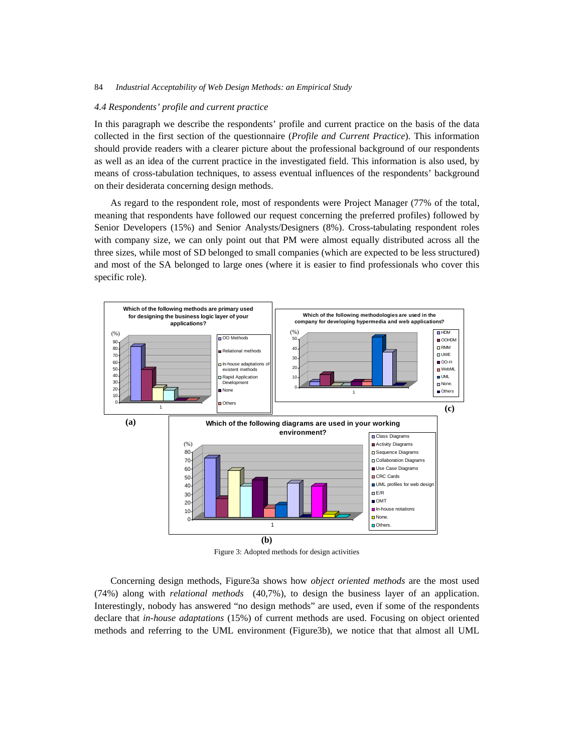#### *4.4 Respondents' profile and current practice*

In this paragraph we describe the respondents' profile and current practice on the basis of the data collected in the first section of the questionnaire (*Profile and Current Practice*). This information should provide readers with a clearer picture about the professional background of our respondents as well as an idea of the current practice in the investigated field. This information is also used, by means of cross-tabulation techniques, to assess eventual influences of the respondents' background on their desiderata concerning design methods.

As regard to the respondent role, most of respondents were Project Manager (77% of the total, meaning that respondents have followed our request concerning the preferred profiles) followed by Senior Developers (15%) and Senior Analysts/Designers (8%). Cross-tabulating respondent roles with company size, we can only point out that PM were almost equally distributed across all the three sizes, while most of SD belonged to small companies (which are expected to be less structured) and most of the SA belonged to large ones (where it is easier to find professionals who cover this specific role).



Figure 3: Adopted methods for design activities

Concerning design methods, Figure3a shows how *object oriented methods* are the most used (74%) along with *relational methods* (40,7%), to design the business layer of an application. Interestingly, nobody has answered "no design methods" are used, even if some of the respondents declare that *in-house adaptations* (15%) of current methods are used. Focusing on object oriented methods and referring to the UML environment (Figure3b), we notice that that almost all UML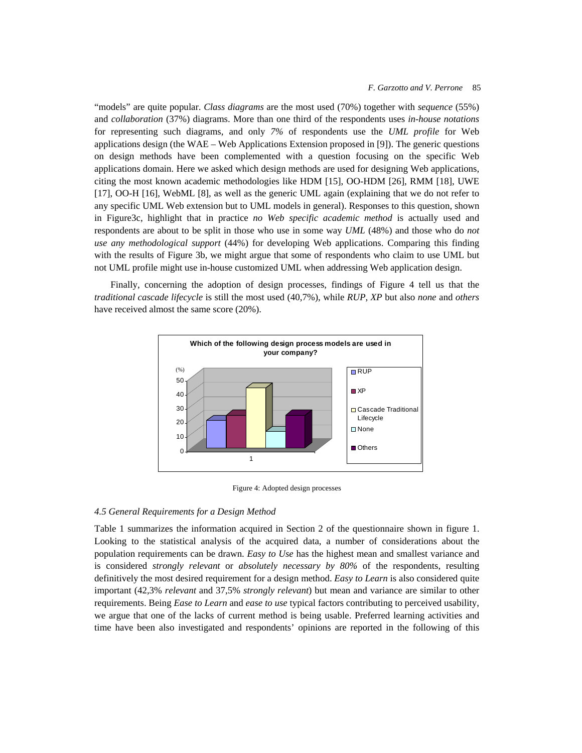"models" are quite popular. *Class diagrams* are the most used (70%) together with *sequence* (55%) and *collaboration* (37%) diagrams. More than one third of the respondents uses *in-house notations* for representing such diagrams, and only *7%* of respondents use the *UML profile* for Web applications design (the WAE – Web Applications Extension proposed in [9]). The generic questions on design methods have been complemented with a question focusing on the specific Web applications domain. Here we asked which design methods are used for designing Web applications, citing the most known academic methodologies like HDM [15], OO-HDM [26], RMM [18], UWE [17], OO-H [16], WebML [8], as well as the generic UML again (explaining that we do not refer to any specific UML Web extension but to UML models in general). Responses to this question, shown in Figure3c, highlight that in practice *no Web specific academic method* is actually used and respondents are about to be split in those who use in some way *UML* (48%) and those who do *not use any methodological support* (44%) for developing Web applications. Comparing this finding with the results of Figure 3b, we might argue that some of respondents who claim to use UML but not UML profile might use in-house customized UML when addressing Web application design.

Finally, concerning the adoption of design processes, findings of Figure 4 tell us that the *traditional cascade lifecycle* is still the most used (40,7%), while *RUP*, *XP* but also *none* and *others* have received almost the same score (20%).



Figure 4: Adopted design processes

#### *4.5 General Requirements for a Design Method*

Table 1 summarizes the information acquired in Section 2 of the questionnaire shown in figure 1. Looking to the statistical analysis of the acquired data, a number of considerations about the population requirements can be drawn. *Easy to Use* has the highest mean and smallest variance and is considered *strongly relevant* or *absolutely necessary by 80%* of the respondents, resulting definitively the most desired requirement for a design method. *Easy to Learn* is also considered quite important (42,3% *relevant* and 37,5% *strongly relevant*) but mean and variance are similar to other requirements. Being *Ease to Learn* and *ease to use* typical factors contributing to perceived usability, we argue that one of the lacks of current method is being usable. Preferred learning activities and time have been also investigated and respondents' opinions are reported in the following of this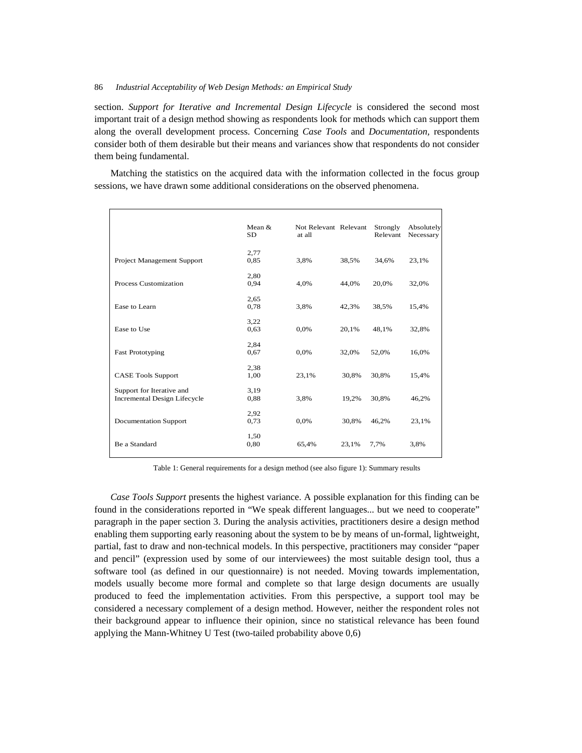section. *Support for Iterative and Incremental Design Lifecycle* is considered the second most important trait of a design method showing as respondents look for methods which can support them along the overall development process. Concerning *Case Tools* and *Documentation,* respondents consider both of them desirable but their means and variances show that respondents do not consider them being fundamental.

Matching the statistics on the acquired data with the information collected in the focus group sessions, we have drawn some additional considerations on the observed phenomena.

|                                                                  | Mean &<br><b>SD</b> | Not Relevant Relevant<br>at all |       | Strongly<br>Relevant | Absolutely<br>Necessary |
|------------------------------------------------------------------|---------------------|---------------------------------|-------|----------------------|-------------------------|
| Project Management Support                                       | 2,77<br>0,85        | 3,8%                            | 38,5% | 34,6%                | 23,1%                   |
| Process Customization                                            | 2,80<br>0,94        | 4,0%                            | 44,0% | 20,0%                | 32,0%                   |
| Ease to Learn                                                    | 2,65<br>0,78        | 3,8%                            | 42,3% | 38,5%                | 15,4%                   |
| Ease to Use                                                      | 3,22<br>0.63        | 0,0%                            | 20,1% | 48,1%                | 32,8%                   |
| <b>Fast Prototyping</b>                                          | 2,84<br>0,67        | 0,0%                            | 32,0% | 52,0%                | 16,0%                   |
| <b>CASE Tools Support</b>                                        | 2,38<br>1,00        | 23,1%                           | 30,8% | 30,8%                | 15,4%                   |
| Support for Iterative and<br><b>Incremental Design Lifecycle</b> | 3,19<br>0,88        | 3,8%                            | 19,2% | 30,8%                | 46,2%                   |
| Documentation Support                                            | 2,92<br>0,73        | 0,0%                            | 30,8% | 46,2%                | 23,1%                   |
| Be a Standard                                                    | 1,50<br>0,80        | 65,4%                           | 23,1% | 7,7%                 | 3,8%                    |

Table 1: General requirements for a design method (see also figure 1): Summary results

*Case Tools Support* presents the highest variance. A possible explanation for this finding can be found in the considerations reported in "We speak different languages... but we need to cooperate" paragraph in the paper section 3. During the analysis activities, practitioners desire a design method enabling them supporting early reasoning about the system to be by means of un-formal, lightweight, partial, fast to draw and non-technical models. In this perspective, practitioners may consider "paper and pencil" (expression used by some of our interviewees) the most suitable design tool, thus a software tool (as defined in our questionnaire) is not needed. Moving towards implementation, models usually become more formal and complete so that large design documents are usually produced to feed the implementation activities. From this perspective, a support tool may be considered a necessary complement of a design method. However, neither the respondent roles not their background appear to influence their opinion, since no statistical relevance has been found applying the Mann-Whitney U Test (two-tailed probability above 0,6)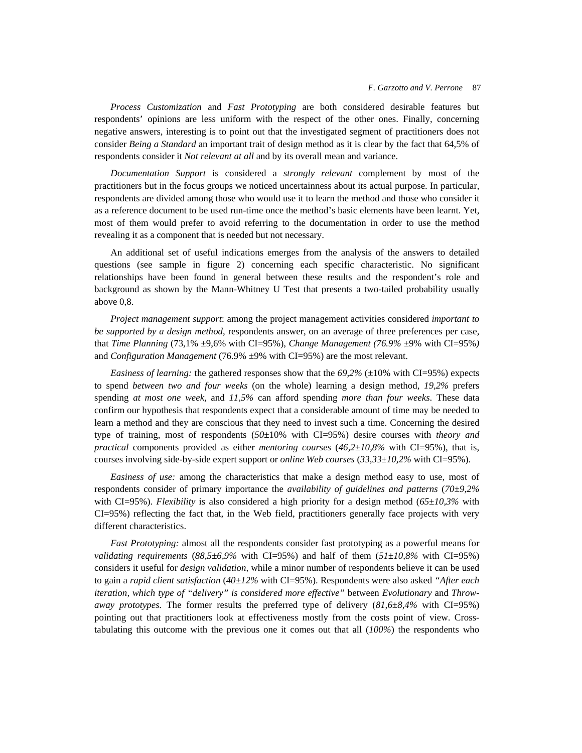*Process Customization* and *Fast Prototyping* are both considered desirable features but respondents' opinions are less uniform with the respect of the other ones. Finally, concerning negative answers, interesting is to point out that the investigated segment of practitioners does not consider *Being a Standard* an important trait of design method as it is clear by the fact that 64,5% of respondents consider it *Not relevant at all* and by its overall mean and variance.

*Documentation Support* is considered a *strongly relevant* complement by most of the practitioners but in the focus groups we noticed uncertainness about its actual purpose. In particular, respondents are divided among those who would use it to learn the method and those who consider it as a reference document to be used run-time once the method's basic elements have been learnt. Yet, most of them would prefer to avoid referring to the documentation in order to use the method revealing it as a component that is needed but not necessary.

An additional set of useful indications emerges from the analysis of the answers to detailed questions (see sample in figure 2) concerning each specific characteristic. No significant relationships have been found in general between these results and the respondent's role and background as shown by the Mann-Whitney U Test that presents a two-tailed probability usually above 0,8.

*Project management support*: among the project management activities considered *important to be supported by a design method*, respondents answer, on an average of three preferences per case, that *Time Planning* (73,1% ±9,6% with CI=95%), *Change Management (76.9%* ±9% with CI=95%*)*  and *Configuration Management* (76.9%  $\pm$ 9% with CI=95%) are the most relevant.

*Easiness of learning:* the gathered responses show that the  $69,2\%$  ( $\pm 10\%$  with CI=95%) expects to spend *between two and four weeks* (on the whole) learning a design method, *19,2%* prefers spending *at most one week*, and *11,5%* can afford spending *more than four weeks*. These data confirm our hypothesis that respondents expect that a considerable amount of time may be needed to learn a method and they are conscious that they need to invest such a time. Concerning the desired type of training, most of respondents (*50*±10% with CI=95%) desire courses with *theory and practical* components provided as either *mentoring courses* (*46,2±10,8%* with CI=95%), that is, courses involving side-by-side expert support or *online Web courses* (*33,33±10,2%* with CI=95%).

*Easiness of use:* among the characteristics that make a design method easy to use, most of respondents consider of primary importance the *availability of guidelines and patterns* (*70±9,2%* with CI=95%). *Flexibility* is also considered a high priority for a design method (*65±10,3%* with CI=95%) reflecting the fact that, in the Web field, practitioners generally face projects with very different characteristics.

*Fast Prototyping:* almost all the respondents consider fast prototyping as a powerful means for *validating requirements* ( $88,5\pm6,9\%$  with CI=95%) and half of them ( $51\pm10,8\%$  with CI=95%) considers it useful for *design validation,* while a minor number of respondents believe it can be used to gain a *rapid client satisfaction* (*40±12%* with CI=95%). Respondents were also asked *"After each iteration, which type of "delivery" is considered more effective"* between *Evolutionary* and *Throwaway prototypes.* The former results the preferred type of delivery  $(81,6\pm8,4\%$  with CI=95%) pointing out that practitioners look at effectiveness mostly from the costs point of view. Crosstabulating this outcome with the previous one it comes out that all (*100%*) the respondents who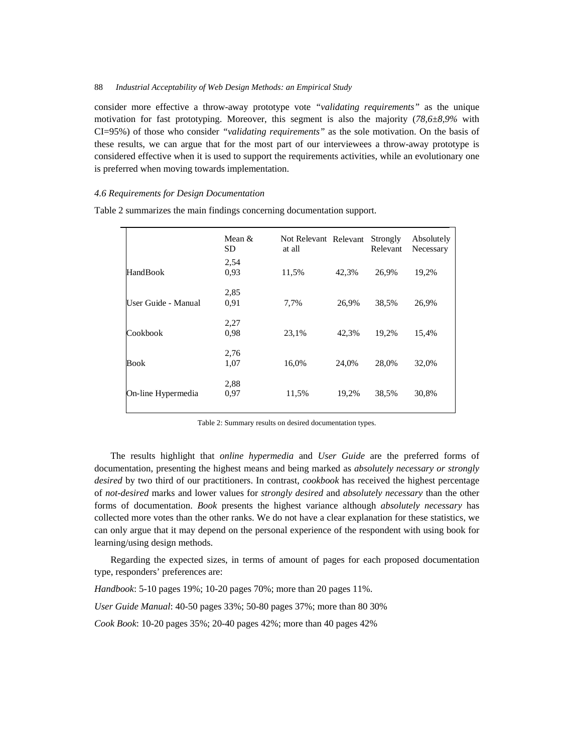consider more effective a throw-away prototype vote *"validating requirements"* as the unique motivation for fast prototyping. Moreover, this segment is also the majority (*78,6±8,9%* with CI=95%) of those who consider *"validating requirements"* as the sole motivation. On the basis of these results, we can argue that for the most part of our interviewees a throw-away prototype is considered effective when it is used to support the requirements activities, while an evolutionary one is preferred when moving towards implementation.

### *4.6 Requirements for Design Documentation*

|                     | Mean $\&$<br><b>SD</b> | Not Relevant Relevant<br>at all |       | Strongly<br>Relevant | Absolutely<br>Necessary |
|---------------------|------------------------|---------------------------------|-------|----------------------|-------------------------|
|                     | 2,54                   |                                 |       |                      |                         |
| HandBook            | 0.93                   | 11,5%                           | 42,3% | 26,9%                | 19,2%                   |
|                     | 2,85                   |                                 |       |                      |                         |
| User Guide - Manual | 0.91                   | 7.7%                            | 26,9% | 38,5%                | 26,9%                   |
|                     | 2,27                   |                                 |       |                      |                         |
| Cookbook            | 0.98                   | 23.1%                           | 42,3% | 19.2%                | 15,4%                   |
|                     | 2,76                   |                                 |       |                      |                         |
| Book                | 1,07                   | 16,0%                           | 24,0% | 28.0%                | 32,0%                   |
|                     | 2,88                   |                                 |       |                      |                         |
| On-line Hypermedia  | 0.97                   | 11,5%                           | 19,2% | 38,5%                | 30,8%                   |

Table 2 summarizes the main findings concerning documentation support.

Table 2: Summary results on desired documentation types.

The results highlight that *online hypermedia* and *User Guide* are the preferred forms of documentation, presenting the highest means and being marked as *absolutely necessary or strongly desired* by two third of our practitioners. In contrast, *cookbook* has received the highest percentage of *not-desired* marks and lower values for *strongly desired* and *absolutely necessary* than the other forms of documentation. *Book* presents the highest variance although *absolutely necessary* has collected more votes than the other ranks. We do not have a clear explanation for these statistics, we can only argue that it may depend on the personal experience of the respondent with using book for learning/using design methods.

Regarding the expected sizes, in terms of amount of pages for each proposed documentation type, responders' preferences are:

*Handbook*: 5-10 pages 19%; 10-20 pages 70%; more than 20 pages 11%.

*User Guide Manual*: 40-50 pages 33%; 50-80 pages 37%; more than 80 30%

*Cook Book*: 10-20 pages 35%; 20-40 pages 42%; more than 40 pages 42%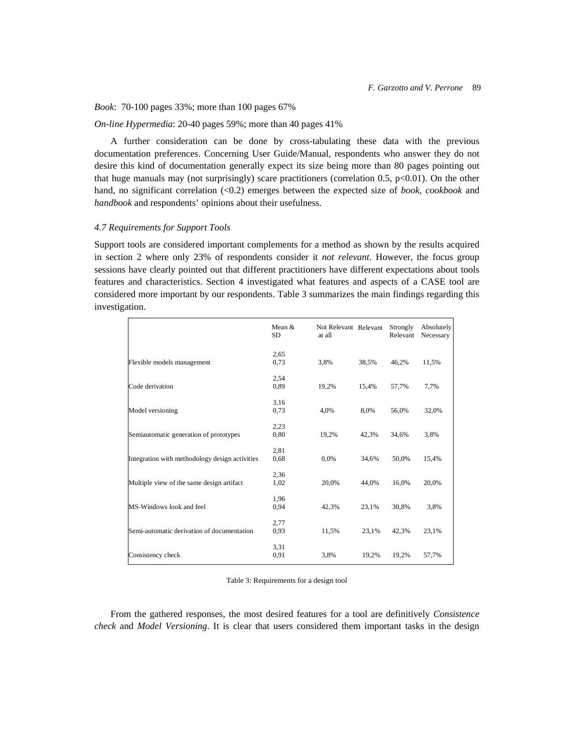#### *Book*: 70-100 pages 33%; more than 100 pages 67%

### *On-line Hypermedia*: 20-40 pages 59%; more than 40 pages 41%

A further consideration can be done by cross-tabulating these data with the previous documentation preferences. Concerning User Guide/Manual, respondents who answer they do not desire this kind of documentation generally expect its size being more than 80 pages pointing out that huge manuals may (not surprisingly) scare practitioners (correlation 0.5,  $p<0.01$ ). On the other hand, no significant correlation (<0.2) emerges between the expected size of *book, cookbook* and *handbook* and respondents' opinions about their usefulness.

### *4.7 Requirements for Support Tools*

Support tools are considered important complements for a method as shown by the results acquired in section 2 where only 23% of respondents consider it *not relevant*. However, the focus group sessions have clearly pointed out that different practitioners have different expectations about tools features and characteristics. Section 4 investigated what features and aspects of a CASE tool are considered more important by our respondents. Table 3 summarizes the main findings regarding this investigation.

|                                                | Mean &<br><b>SD</b> | Not Relevant Relevant<br>at all |       | Strongly<br>Relevant | Absolutely<br>Necessary |
|------------------------------------------------|---------------------|---------------------------------|-------|----------------------|-------------------------|
|                                                | 2,65                |                                 |       |                      |                         |
| Flexible models management                     | 0,73                | 3,8%                            | 38,5% | 46,2%                | 11,5%                   |
|                                                | 2,54                |                                 |       |                      |                         |
| Code derivation                                | 0,89                | 19,2%                           | 15,4% | 57,7%                | 7.7%                    |
|                                                | 3,16                |                                 |       |                      |                         |
| Model versioning                               | 0.73                | 4,0%                            | 8,0%  | 56,0%                | 32,0%                   |
|                                                | 2,23                |                                 |       |                      |                         |
| Semiautomatic generation of prototypes         | 0,80                | 19,2%                           | 42,3% | 34,6%                | 3,8%                    |
|                                                | 2,81                |                                 |       |                      |                         |
| Integration with methodology design activities | 0,68                | 0,0%                            | 34,6% | 50,0%                | 15,4%                   |
|                                                | 2,36                |                                 |       |                      |                         |
| Multiple view of the same design artifact      | 1,02                | 20,0%                           | 44,0% | 16,0%                | 20,0%                   |
|                                                | 1,96                |                                 |       |                      |                         |
| MS-Windows look and feel                       | 0,94                | 42,3%                           | 23,1% | 30,8%                | 3,8%                    |
|                                                | 2,77                |                                 |       |                      |                         |
| Semi-automatic derivation of documentation     | 0,93                | 11,5%                           | 23,1% | 42,3%                | 23,1%                   |
|                                                | 3,31                |                                 |       |                      |                         |
| Consistency check                              | 0,91                | 3,8%                            | 19,2% | 19,2%                | 57,7%                   |

Table 3: Requirements for a design tool

From the gathered responses, the most desired features for a tool are definitively *Consistence check* and *Model Versioning*. It is clear that users considered them important tasks in the design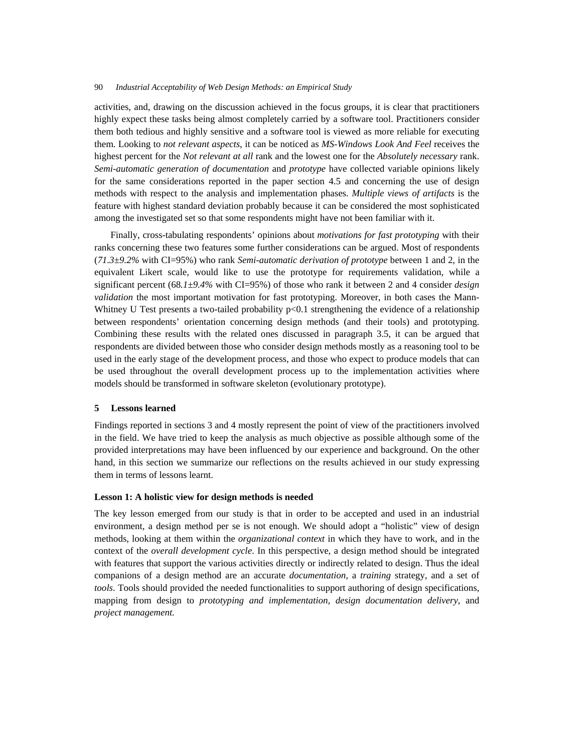activities, and, drawing on the discussion achieved in the focus groups, it is clear that practitioners highly expect these tasks being almost completely carried by a software tool. Practitioners consider them both tedious and highly sensitive and a software tool is viewed as more reliable for executing them. Looking to *not relevant aspects*, it can be noticed as *MS-Windows Look And Feel* receives the highest percent for the *Not relevant at all* rank and the lowest one for the *Absolutely necessary* rank. *Semi-automatic generation of documentation* and *prototype* have collected variable opinions likely for the same considerations reported in the paper section 4.5 and concerning the use of design methods with respect to the analysis and implementation phases. *Multiple views of artifacts* is the feature with highest standard deviation probably because it can be considered the most sophisticated among the investigated set so that some respondents might have not been familiar with it.

Finally, cross-tabulating respondents' opinions about *motivations for fast prototyping* with their ranks concerning these two features some further considerations can be argued. Most of respondents (*71.3±9.2%* with CI=95%) who rank *Semi-automatic derivation of prototype* between 1 and 2, in the equivalent Likert scale, would like to use the prototype for requirements validation, while a significant percent (68.1±9.4% with CI=95%) of those who rank it between 2 and 4 consider *design validation* the most important motivation for fast prototyping. Moreover, in both cases the Mann-Whitney U Test presents a two-tailed probability p<0.1 strengthening the evidence of a relationship between respondents' orientation concerning design methods (and their tools) and prototyping. Combining these results with the related ones discussed in paragraph 3.5, it can be argued that respondents are divided between those who consider design methods mostly as a reasoning tool to be used in the early stage of the development process, and those who expect to produce models that can be used throughout the overall development process up to the implementation activities where models should be transformed in software skeleton (evolutionary prototype).

## **5 Lessons learned**

Findings reported in sections 3 and 4 mostly represent the point of view of the practitioners involved in the field. We have tried to keep the analysis as much objective as possible although some of the provided interpretations may have been influenced by our experience and background. On the other hand, in this section we summarize our reflections on the results achieved in our study expressing them in terms of lessons learnt.

### **Lesson 1: A holistic view for design methods is needed**

The key lesson emerged from our study is that in order to be accepted and used in an industrial environment, a design method per se is not enough. We should adopt a "holistic" view of design methods, looking at them within the *organizational context* in which they have to work, and in the context of the *overall development cycle*. In this perspective, a design method should be integrated with features that support the various activities directly or indirectly related to design. Thus the ideal companions of a design method are an accurate *documentation,* a *training* strategy, and a set of *tools*. Tools should provided the needed functionalities to support authoring of design specifications, mapping from design to *prototyping and implementation, design documentation delivery*, and *project management.*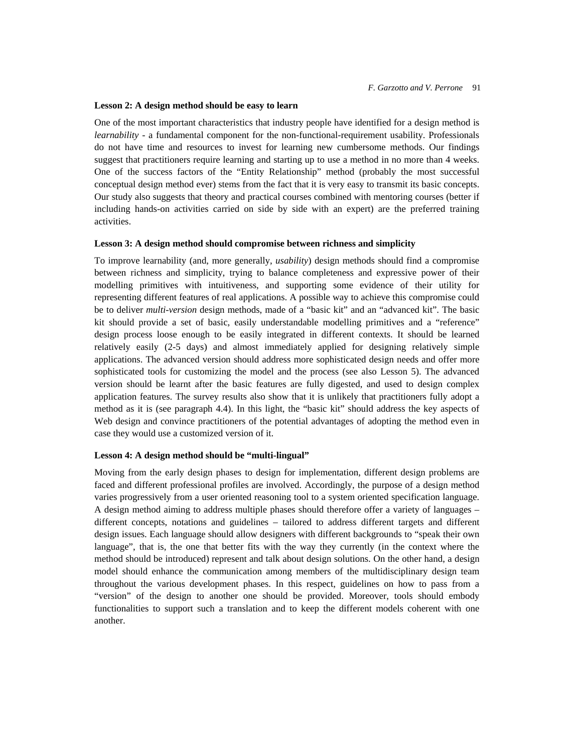### **Lesson 2: A design method should be easy to learn**

One of the most important characteristics that industry people have identified for a design method is *learnability -* a fundamental component for the non-functional-requirement usability. Professionals do not have time and resources to invest for learning new cumbersome methods. Our findings suggest that practitioners require learning and starting up to use a method in no more than 4 weeks. One of the success factors of the "Entity Relationship" method (probably the most successful conceptual design method ever) stems from the fact that it is very easy to transmit its basic concepts. Our study also suggests that theory and practical courses combined with mentoring courses (better if including hands-on activities carried on side by side with an expert) are the preferred training activities.

#### **Lesson 3: A design method should compromise between richness and simplicity**

To improve learnability (and, more generally, *usability*) design methods should find a compromise between richness and simplicity, trying to balance completeness and expressive power of their modelling primitives with intuitiveness, and supporting some evidence of their utility for representing different features of real applications. A possible way to achieve this compromise could be to deliver *multi-version* design methods, made of a "basic kit" and an "advanced kit". The basic kit should provide a set of basic, easily understandable modelling primitives and a "reference" design process loose enough to be easily integrated in different contexts. It should be learned relatively easily (2-5 days) and almost immediately applied for designing relatively simple applications. The advanced version should address more sophisticated design needs and offer more sophisticated tools for customizing the model and the process (see also Lesson 5). The advanced version should be learnt after the basic features are fully digested, and used to design complex application features. The survey results also show that it is unlikely that practitioners fully adopt a method as it is (see paragraph 4.4). In this light, the "basic kit" should address the key aspects of Web design and convince practitioners of the potential advantages of adopting the method even in case they would use a customized version of it.

# **Lesson 4: A design method should be "multi-lingual"**

Moving from the early design phases to design for implementation, different design problems are faced and different professional profiles are involved. Accordingly, the purpose of a design method varies progressively from a user oriented reasoning tool to a system oriented specification language. A design method aiming to address multiple phases should therefore offer a variety of languages – different concepts, notations and guidelines – tailored to address different targets and different design issues. Each language should allow designers with different backgrounds to "speak their own language", that is, the one that better fits with the way they currently (in the context where the method should be introduced) represent and talk about design solutions. On the other hand, a design model should enhance the communication among members of the multidisciplinary design team throughout the various development phases. In this respect, guidelines on how to pass from a "version" of the design to another one should be provided. Moreover, tools should embody functionalities to support such a translation and to keep the different models coherent with one another.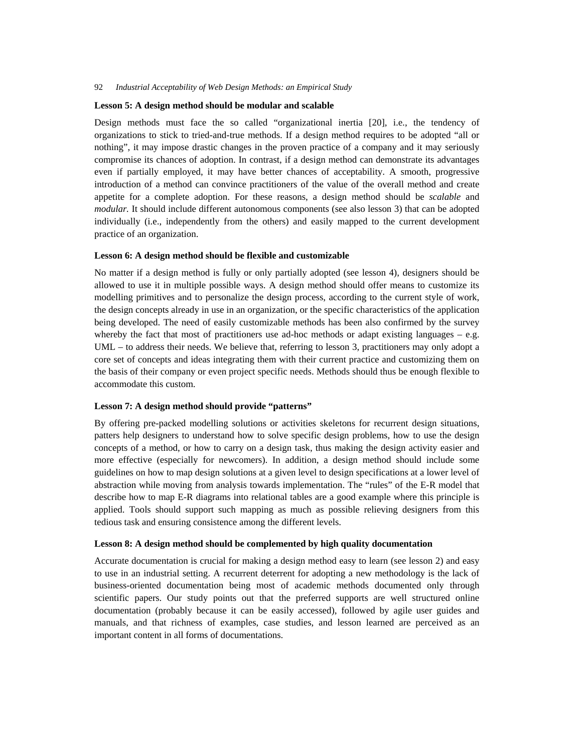#### **Lesson 5: A design method should be modular and scalable**

Design methods must face the so called "organizational inertia [20], i.e., the tendency of organizations to stick to tried-and-true methods. If a design method requires to be adopted "all or nothing", it may impose drastic changes in the proven practice of a company and it may seriously compromise its chances of adoption. In contrast, if a design method can demonstrate its advantages even if partially employed, it may have better chances of acceptability. A smooth, progressive introduction of a method can convince practitioners of the value of the overall method and create appetite for a complete adoption. For these reasons, a design method should be *scalable* and *modular.* It should include different autonomous components (see also lesson 3) that can be adopted individually (i.e., independently from the others) and easily mapped to the current development practice of an organization.

### **Lesson 6: A design method should be flexible and customizable**

No matter if a design method is fully or only partially adopted (see lesson 4), designers should be allowed to use it in multiple possible ways. A design method should offer means to customize its modelling primitives and to personalize the design process, according to the current style of work, the design concepts already in use in an organization, or the specific characteristics of the application being developed. The need of easily customizable methods has been also confirmed by the survey whereby the fact that most of practitioners use ad-hoc methods or adapt existing languages – e.g. UML – to address their needs. We believe that, referring to lesson 3, practitioners may only adopt a core set of concepts and ideas integrating them with their current practice and customizing them on the basis of their company or even project specific needs. Methods should thus be enough flexible to accommodate this custom.

### **Lesson 7: A design method should provide "patterns"**

By offering pre-packed modelling solutions or activities skeletons for recurrent design situations, patters help designers to understand how to solve specific design problems, how to use the design concepts of a method, or how to carry on a design task, thus making the design activity easier and more effective (especially for newcomers). In addition, a design method should include some guidelines on how to map design solutions at a given level to design specifications at a lower level of abstraction while moving from analysis towards implementation. The "rules" of the E-R model that describe how to map E-R diagrams into relational tables are a good example where this principle is applied. Tools should support such mapping as much as possible relieving designers from this tedious task and ensuring consistence among the different levels.

### **Lesson 8: A design method should be complemented by high quality documentation**

Accurate documentation is crucial for making a design method easy to learn (see lesson 2) and easy to use in an industrial setting. A recurrent deterrent for adopting a new methodology is the lack of business-oriented documentation being most of academic methods documented only through scientific papers. Our study points out that the preferred supports are well structured online documentation (probably because it can be easily accessed), followed by agile user guides and manuals, and that richness of examples, case studies, and lesson learned are perceived as an important content in all forms of documentations.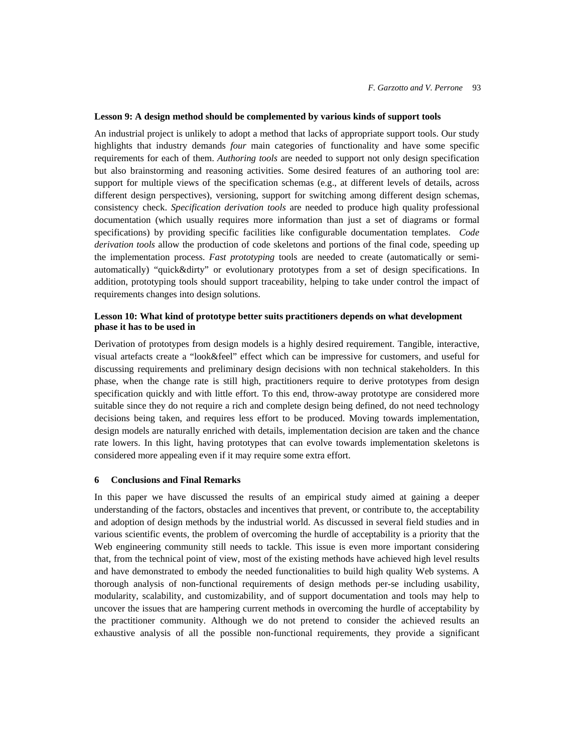### **Lesson 9: A design method should be complemented by various kinds of support tools**

An industrial project is unlikely to adopt a method that lacks of appropriate support tools. Our study highlights that industry demands *four* main categories of functionality and have some specific requirements for each of them. *Authoring tools* are needed to support not only design specification but also brainstorming and reasoning activities. Some desired features of an authoring tool are: support for multiple views of the specification schemas (e.g., at different levels of details, across different design perspectives), versioning, support for switching among different design schemas, consistency check. *Specification derivation tools* are needed to produce high quality professional documentation (which usually requires more information than just a set of diagrams or formal specifications) by providing specific facilities like configurable documentation templates. *Code derivation tools* allow the production of code skeletons and portions of the final code, speeding up the implementation process. *Fast prototyping* tools are needed to create (automatically or semiautomatically) "quick&dirty" or evolutionary prototypes from a set of design specifications. In addition, prototyping tools should support traceability, helping to take under control the impact of requirements changes into design solutions.

# **Lesson 10: What kind of prototype better suits practitioners depends on what development phase it has to be used in**

Derivation of prototypes from design models is a highly desired requirement. Tangible, interactive, visual artefacts create a "look&feel" effect which can be impressive for customers, and useful for discussing requirements and preliminary design decisions with non technical stakeholders. In this phase, when the change rate is still high, practitioners require to derive prototypes from design specification quickly and with little effort. To this end, throw-away prototype are considered more suitable since they do not require a rich and complete design being defined, do not need technology decisions being taken, and requires less effort to be produced. Moving towards implementation, design models are naturally enriched with details, implementation decision are taken and the chance rate lowers. In this light, having prototypes that can evolve towards implementation skeletons is considered more appealing even if it may require some extra effort.

# **6 Conclusions and Final Remarks**

In this paper we have discussed the results of an empirical study aimed at gaining a deeper understanding of the factors, obstacles and incentives that prevent, or contribute to, the acceptability and adoption of design methods by the industrial world. As discussed in several field studies and in various scientific events, the problem of overcoming the hurdle of acceptability is a priority that the Web engineering community still needs to tackle. This issue is even more important considering that, from the technical point of view, most of the existing methods have achieved high level results and have demonstrated to embody the needed functionalities to build high quality Web systems. A thorough analysis of non-functional requirements of design methods per-se including usability, modularity, scalability, and customizability, and of support documentation and tools may help to uncover the issues that are hampering current methods in overcoming the hurdle of acceptability by the practitioner community. Although we do not pretend to consider the achieved results an exhaustive analysis of all the possible non-functional requirements, they provide a significant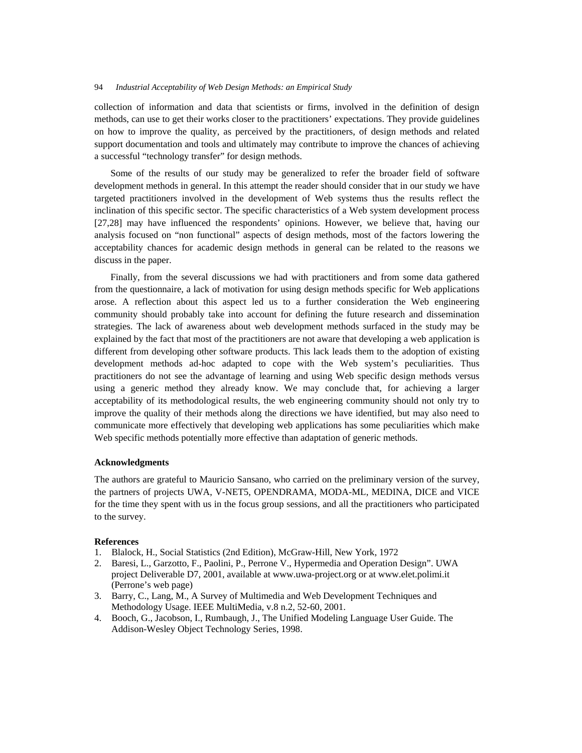collection of information and data that scientists or firms, involved in the definition of design methods, can use to get their works closer to the practitioners' expectations. They provide guidelines on how to improve the quality, as perceived by the practitioners, of design methods and related support documentation and tools and ultimately may contribute to improve the chances of achieving a successful "technology transfer" for design methods.

Some of the results of our study may be generalized to refer the broader field of software development methods in general. In this attempt the reader should consider that in our study we have targeted practitioners involved in the development of Web systems thus the results reflect the inclination of this specific sector. The specific characteristics of a Web system development process [27,28] may have influenced the respondents' opinions. However, we believe that, having our analysis focused on "non functional" aspects of design methods, most of the factors lowering the acceptability chances for academic design methods in general can be related to the reasons we discuss in the paper.

Finally, from the several discussions we had with practitioners and from some data gathered from the questionnaire, a lack of motivation for using design methods specific for Web applications arose. A reflection about this aspect led us to a further consideration the Web engineering community should probably take into account for defining the future research and dissemination strategies. The lack of awareness about web development methods surfaced in the study may be explained by the fact that most of the practitioners are not aware that developing a web application is different from developing other software products. This lack leads them to the adoption of existing development methods ad-hoc adapted to cope with the Web system's peculiarities. Thus practitioners do not see the advantage of learning and using Web specific design methods versus using a generic method they already know. We may conclude that, for achieving a larger acceptability of its methodological results, the web engineering community should not only try to improve the quality of their methods along the directions we have identified, but may also need to communicate more effectively that developing web applications has some peculiarities which make Web specific methods potentially more effective than adaptation of generic methods.

### **Acknowledgments**

The authors are grateful to Mauricio Sansano, who carried on the preliminary version of the survey, the partners of projects UWA, V-NET5, OPENDRAMA, MODA-ML, MEDINA, DICE and VICE for the time they spent with us in the focus group sessions, and all the practitioners who participated to the survey.

#### **References**

- 1. Blalock, H., Social Statistics (2nd Edition), McGraw-Hill, New York, 1972
- 2. Baresi, L., Garzotto, F., Paolini, P., Perrone V., Hypermedia and Operation Design". UWA project Deliverable D7, 2001, available at www.uwa-project.org or at www.elet.polimi.it (Perrone's web page)
- 3. Barry, C., Lang, M., A Survey of Multimedia and Web Development Techniques and Methodology Usage. IEEE MultiMedia, v.8 n.2, 52-60, 2001.
- 4. Booch, G., Jacobson, I., Rumbaugh, J., The Unified Modeling Language User Guide. The Addison-Wesley Object Technology Series, 1998.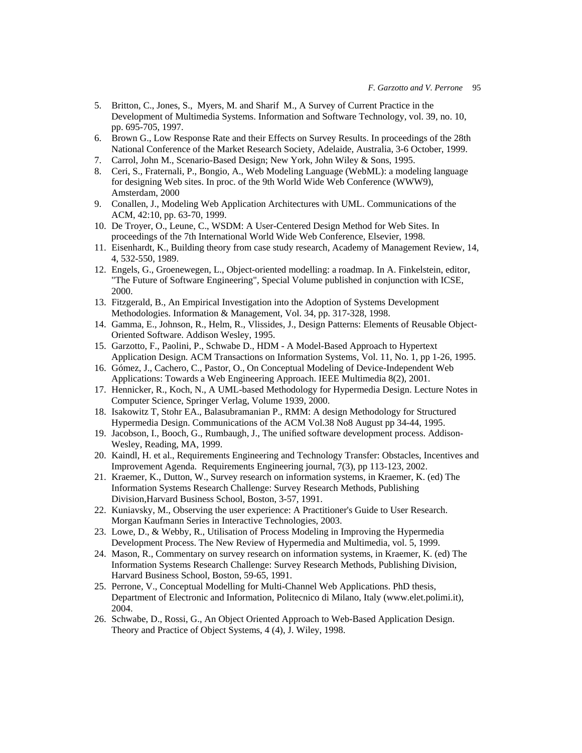- 5. Britton, C., Jones, S., Myers, M. and Sharif M., A Survey of Current Practice in the Development of Multimedia Systems. Information and Software Technology, vol. 39, no. 10, pp. 695-705, 1997.
- 6. Brown G., Low Response Rate and their Effects on Survey Results. In proceedings of the 28th National Conference of the Market Research Society, Adelaide, Australia, 3-6 October, 1999.
- 7. Carrol, John M., Scenario-Based Design; New York, John Wiley & Sons, 1995.
- 8. Ceri, S., Fraternali, P., Bongio, A., Web Modeling Language (WebML): a modeling language for designing Web sites. In proc. of the 9th World Wide Web Conference (WWW9), Amsterdam, 2000
- 9. Conallen, J., Modeling Web Application Architectures with UML. Communications of the ACM, 42:10, pp. 63-70, 1999.
- 10. De Troyer, O., Leune, C., WSDM: A User-Centered Design Method for Web Sites. In proceedings of the 7th International World Wide Web Conference, Elsevier, 1998.
- 11. Eisenhardt, K., Building theory from case study research, Academy of Management Review, 14, 4, 532-550, 1989.
- 12. Engels, G., Groenewegen, L., Object-oriented modelling: a roadmap. In A. Finkelstein, editor, "The Future of Software Engineering", Special Volume published in conjunction with ICSE, 2000.
- 13. Fitzgerald, B., An Empirical Investigation into the Adoption of Systems Development Methodologies. Information & Management, Vol. 34, pp. 317-328, 1998.
- 14. Gamma, E., Johnson, R., Helm, R., Vlissides, J., Design Patterns: Elements of Reusable Object-Oriented Software. Addison Wesley, 1995.
- 15. Garzotto, F., Paolini, P., Schwabe D., HDM A Model-Based Approach to Hypertext Application Design. ACM Transactions on Information Systems, Vol. 11, No. 1, pp 1-26, 1995.
- 16. Gómez, J., Cachero, C., Pastor, O., On Conceptual Modeling of Device-Independent Web Applications: Towards a Web Engineering Approach. IEEE Multimedia 8(2), 2001.
- 17. Hennicker, R., Koch, N., A UML-based Methodology for Hypermedia Design. Lecture Notes in Computer Science, Springer Verlag, Volume 1939, 2000.
- 18. Isakowitz T, Stohr EA., Balasubramanian P., RMM: A design Methodology for Structured Hypermedia Design. Communications of the ACM Vol.38 No8 August pp 34-44, 1995.
- 19. Jacobson, I., Booch, G., Rumbaugh, J., The unified software development process. Addison-Wesley, Reading, MA, 1999.
- 20. Kaindl, H. et al., Requirements Engineering and Technology Transfer: Obstacles, Incentives and Improvement Agenda. Requirements Engineering journal, 7(3), pp 113-123, 2002.
- 21. Kraemer, K., Dutton, W., Survey research on information systems, in Kraemer, K. (ed) The Information Systems Research Challenge: Survey Research Methods, Publishing Division,Harvard Business School, Boston, 3-57, 1991.
- 22. Kuniavsky, M., Observing the user experience: A Practitioner's Guide to User Research. Morgan Kaufmann Series in Interactive Technologies, 2003.
- 23. Lowe, D., & Webby, R., Utilisation of Process Modeling in Improving the Hypermedia Development Process. The New Review of Hypermedia and Multimedia, vol. 5, 1999.
- 24. Mason, R., Commentary on survey research on information systems, in Kraemer, K. (ed) The Information Systems Research Challenge: Survey Research Methods, Publishing Division, Harvard Business School, Boston, 59-65, 1991.
- 25. Perrone, V., Conceptual Modelling for Multi-Channel Web Applications. PhD thesis, Department of Electronic and Information, Politecnico di Milano, Italy (www.elet.polimi.it), 2004.
- 26. Schwabe, D., Rossi, G., An Object Oriented Approach to Web-Based Application Design. Theory and Practice of Object Systems, 4 (4), J. Wiley, 1998.